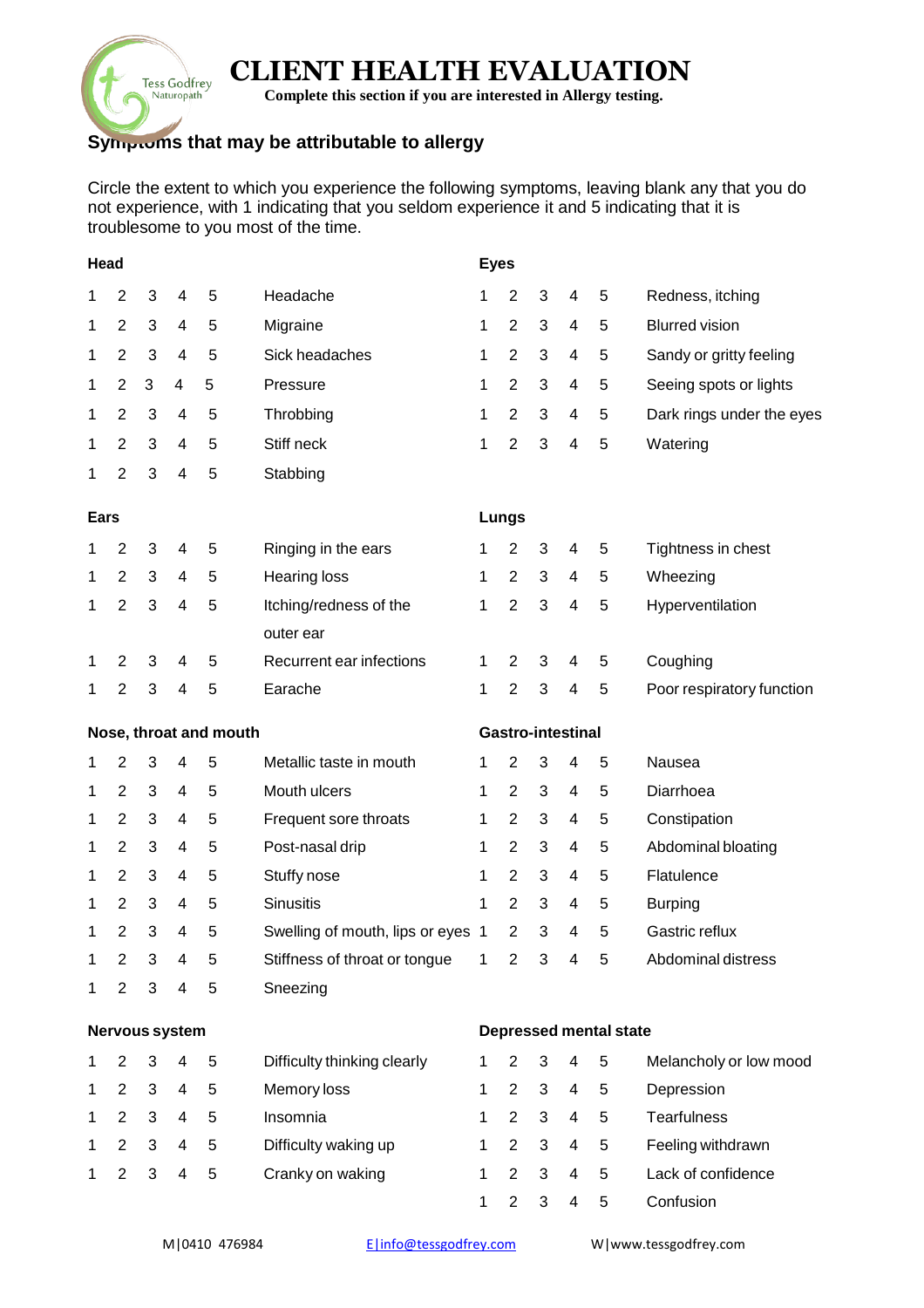# **CLIENT HEALTH EVALUATION**

**Complete this section if you are interested in Allergy testing.**

## **Symptoms that may be attributable to allergy**

**Tess Godfrey** Naturopath

Circle the extent to which you experience the following symptoms, leaving blank any that you do not experience, with 1 indicating that you seldom experience it and 5 indicating that it is troublesome to you most of the time.

| Head           |                |   |                         |                        |                                   |                          |                | <b>Eyes</b>                   |                          |   |                           |  |  |
|----------------|----------------|---|-------------------------|------------------------|-----------------------------------|--------------------------|----------------|-------------------------------|--------------------------|---|---------------------------|--|--|
| 1              | 2              | 3 | 4                       | 5                      | Headache                          | 1                        | $\overline{2}$ | 3                             | 4                        | 5 | Redness, itching          |  |  |
| 1              | $\overline{2}$ | 3 | 4                       | 5                      | Migraine                          | 1                        | $\overline{2}$ | 3                             | 4                        | 5 | <b>Blurred vision</b>     |  |  |
| 1              | $\overline{2}$ | 3 | 4                       | 5                      | Sick headaches                    | 1                        | $\overline{2}$ | 3                             | 4                        | 5 | Sandy or gritty feeling   |  |  |
| 1              | $\overline{2}$ | 3 | 4                       | 5                      | Pressure                          | 1                        | $\overline{2}$ | 3                             | 4                        | 5 | Seeing spots or lights    |  |  |
| 1              | $\overline{2}$ | 3 | $\overline{\mathbf{4}}$ | 5                      | Throbbing                         | 1                        | $\overline{2}$ | 3                             | 4                        | 5 | Dark rings under the eyes |  |  |
| 1              | 2              | 3 | 4                       | 5                      | Stiff neck                        | 1                        | $\overline{2}$ | 3                             | 4                        | 5 | Watering                  |  |  |
| 1              | $\overline{2}$ | 3 | 4                       | 5                      | Stabbing                          |                          |                |                               |                          |   |                           |  |  |
| <b>Ears</b>    |                |   |                         |                        |                                   |                          | <b>Lungs</b>   |                               |                          |   |                           |  |  |
| 1              | $\overline{2}$ | 3 | 4                       | 5                      | Ringing in the ears               | 1                        | $\overline{2}$ | 3                             | 4                        | 5 | Tightness in chest        |  |  |
| 1              | $\overline{2}$ | 3 | 4                       | 5                      | <b>Hearing loss</b>               | 1                        | $\overline{2}$ | 3                             | 4                        | 5 | Wheezing                  |  |  |
| 1              | $\overline{2}$ | 3 | 4                       | 5                      | Itching/redness of the            | 1                        | $\overline{2}$ | 3                             | 4                        | 5 | Hyperventilation          |  |  |
|                |                |   |                         |                        | outer ear                         |                          |                |                               |                          |   |                           |  |  |
| 1              | 2              | 3 | 4                       | 5                      | Recurrent ear infections          | 1                        | $\overline{2}$ | 3                             | 4                        | 5 | Coughing                  |  |  |
| 1              | $\overline{2}$ | 3 | 4                       | 5                      | Earache                           | 1                        | $\overline{2}$ | 3                             | $\overline{\mathbf{4}}$  | 5 | Poor respiratory function |  |  |
|                |                |   |                         | Nose, throat and mouth |                                   | <b>Gastro-intestinal</b> |                |                               |                          |   |                           |  |  |
| 1              | 2              | 3 | 4                       | 5                      | Metallic taste in mouth           | 1                        | 2              | 3                             | 4                        | 5 | Nausea                    |  |  |
| 1              | $\overline{2}$ | 3 | 4                       | 5                      | Mouth ulcers                      | 1                        | $\overline{2}$ | 3                             | 4                        | 5 | Diarrhoea                 |  |  |
| 1              | $\overline{2}$ | 3 | 4                       | 5                      | Frequent sore throats             | 1                        | $\overline{2}$ | 3                             | 4                        | 5 | Constipation              |  |  |
| 1              | $\overline{2}$ | 3 | 4                       | 5                      | Post-nasal drip                   | 1                        | $\overline{2}$ | 3                             | 4                        | 5 | Abdominal bloating        |  |  |
| 1              | $\overline{2}$ | 3 | 4                       | 5                      | Stuffy nose                       | 1                        | $\overline{2}$ | 3                             | 4                        | 5 | Flatulence                |  |  |
| 1              | $\overline{2}$ | 3 | 4                       | 5                      | <b>Sinusitis</b>                  | 1                        | $\overline{2}$ | 3                             | 4                        | 5 | <b>Burping</b>            |  |  |
| 1              | $\overline{2}$ | 3 | 4                       | 5                      | Swelling of mouth, lips or eyes 1 |                          | $\overline{2}$ | 3                             | 4                        | 5 | Gastric reflux            |  |  |
| 1              | 2              | 3 | 4                       | 5                      | Stiffness of throat or tongue     | 1                        | $\overline{2}$ | 3                             | 4                        | 5 | Abdominal distress        |  |  |
| 1              | $\overline{2}$ | 3 | 4                       | 5                      | Sneezing                          |                          |                |                               |                          |   |                           |  |  |
| Nervous system |                |   |                         |                        |                                   |                          |                | <b>Depressed mental state</b> |                          |   |                           |  |  |
| 1              | $\overline{2}$ | 3 | 4                       | 5                      | Difficulty thinking clearly       | 1                        | $\overline{2}$ | 3                             | 4                        | 5 | Melancholy or low mood    |  |  |
| 1              | 2              | 3 | $\overline{4}$          | 5                      | Memory loss                       | 1                        | $\overline{2}$ | 3                             | 4                        | 5 | Depression                |  |  |
| 1              | $\overline{2}$ | 3 | $\overline{4}$          | 5                      | Insomnia                          | 1                        | $\overline{2}$ | 3                             | $\overline{\mathcal{A}}$ | 5 | <b>Tearfulness</b>        |  |  |
| 1              | $\overline{2}$ | 3 | $\overline{4}$          | 5                      | Difficulty waking up              | 1                        | $\overline{2}$ | 3                             | $\overline{4}$           | 5 | Feeling withdrawn         |  |  |
| 1              | $\overline{2}$ | 3 | 4                       | 5                      | Cranky on waking                  | 1                        | $\overline{2}$ | 3                             | 4                        | 5 | Lack of confidence        |  |  |
|                |                |   |                         |                        |                                   | 1                        | $\overline{2}$ | 3                             | 4                        | 5 | Confusion                 |  |  |